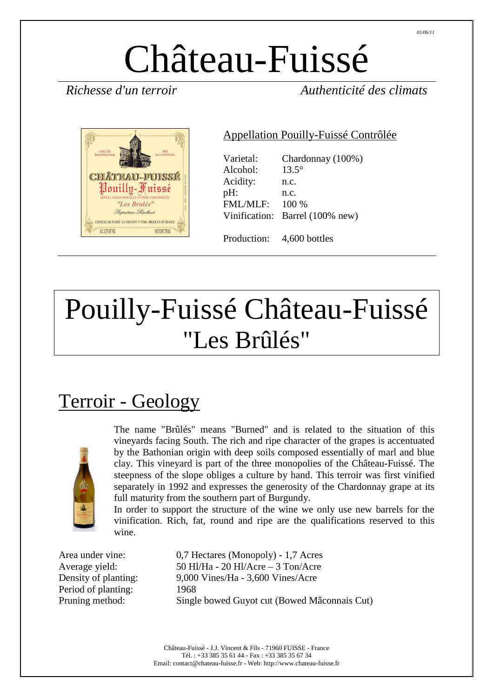# Château-Fuissé

*Richesse d'un terroir Authenticité des climats* 



#### Appellation Pouilly-Fuissé Contrôlée

| Varietal:<br>Alcohol:<br>Acidity:<br>pH:<br><b>FML/MLF:</b> | Chardonnay (100%)<br>$13.5^\circ$<br>n.c.<br>n.c.<br>$100\%$<br>Vinification: Barrel (100% new) |
|-------------------------------------------------------------|-------------------------------------------------------------------------------------------------|
| Production:                                                 | 4,600 bottles                                                                                   |

# Pouilly-Fuissé Château-Fuissé "Les Brûlés"

# Terroir - Geology



The name "Brûlés" means "Burned" and is related to the situation of this vineyards facing South. The rich and ripe character of the grapes is accentuated by the Bathonian origin with deep soils composed essentially of marl and blue clay. This vineyard is part of the three monopolies of the Château-Fuissé. The steepness of the slope obliges a culture by hand. This terroir was first vinified separately in 1992 and expresses the generosity of the Chardonnay grape at its full maturity from the southern part of Burgundy.

In order to support the structure of the wine we only use new barrels for the vinification. Rich, fat, round and ripe are the qualifications reserved to this wine.

Period of planting: 1968

Area under vine: 0,7 Hectares (Monopoly) - 1,7 Acres Average yield: 50 Hl/Ha - 20 Hl/Acre – 3 Ton/Acre Density of planting: 9,000 Vines/Ha - 3,600 Vines/Acre Pruning method: Single bowed Guyot cut (Bowed Mâconnais Cut)